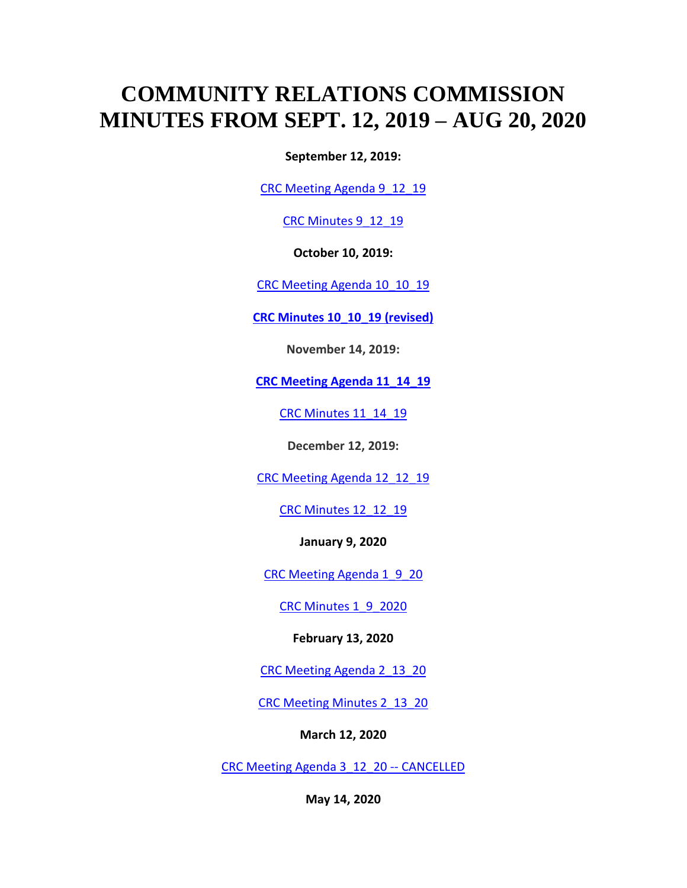## **COMMUNITY RELATIONS COMMISSION MINUTES FROM SEPT. 12, 2019 – AUG 20, 2020**

**September 12, 2019:**

[CRC Meeting Agenda 9\\_12\\_19](https://rockfordil.gov/wp-content/uploads/2019/10/CRC-Meeting-Agenda-9_12_19.pdf)

CRC Minutes 9 12 19

**October 10, 2019:**

[CRC Meeting Agenda 10\\_10\\_19](https://rockfordil.gov/wp-content/uploads/2019/10/CRC-Meeting-Agenda-10_10_19-REVISED.pdf)

**[CRC Minutes 10\\_10\\_19 \(revised\)](https://rockfordil.gov/wp-content/uploads/2020/07/CRC-Minutes-10_10_19-revised.pdf)**

**November 14, 2019:**

**[CRC Meeting Agenda 11\\_14\\_19](https://rockfordil.gov/wp-content/uploads/2019/11/CRC-Meeting-Agenda-11_14_19.pdf)**

[CRC Minutes 11\\_14\\_19](https://rockfordil.gov/wp-content/uploads/2020/07/CRC-Minutes-11_14_19.pdf)

**December 12, 2019:**

CRC Meeting Agenda 12 12 19

[CRC Minutes 12\\_12\\_19](https://rockfordil.gov/wp-content/uploads/2020/07/CRC-Minutes-12_12_19.pdf)

**January 9, 2020**

[CRC Meeting Agenda 1\\_9\\_20](https://rockfordil.gov/wp-content/uploads/2020/01/CRC-Meeting-Agenda-1_9_20.pdf)

[CRC Minutes 1\\_9\\_2020](https://rockfordil.gov/wp-content/uploads/2020/07/CRC-Minutes-1_9_2020.pdf)

**February 13, 2020**

[CRC Meeting Agenda 2\\_13\\_20](https://rockfordil.gov/wp-content/uploads/2020/02/CRC-Meeting-Agenda-2_13_20.pdf)

[CRC Meeting Minutes 2\\_13\\_20](https://rockfordil.gov/wp-content/uploads/2020/07/CRC-Meeting-Minutes-2_13_20.pdf)

**March 12, 2020**

[CRC Meeting Agenda 3\\_12\\_20 --](https://rockfordil.gov/wp-content/uploads/2020/03/CRC-Meeting-Agenda-3_12_20.pdf) CANCELLED

**May 14, 2020**